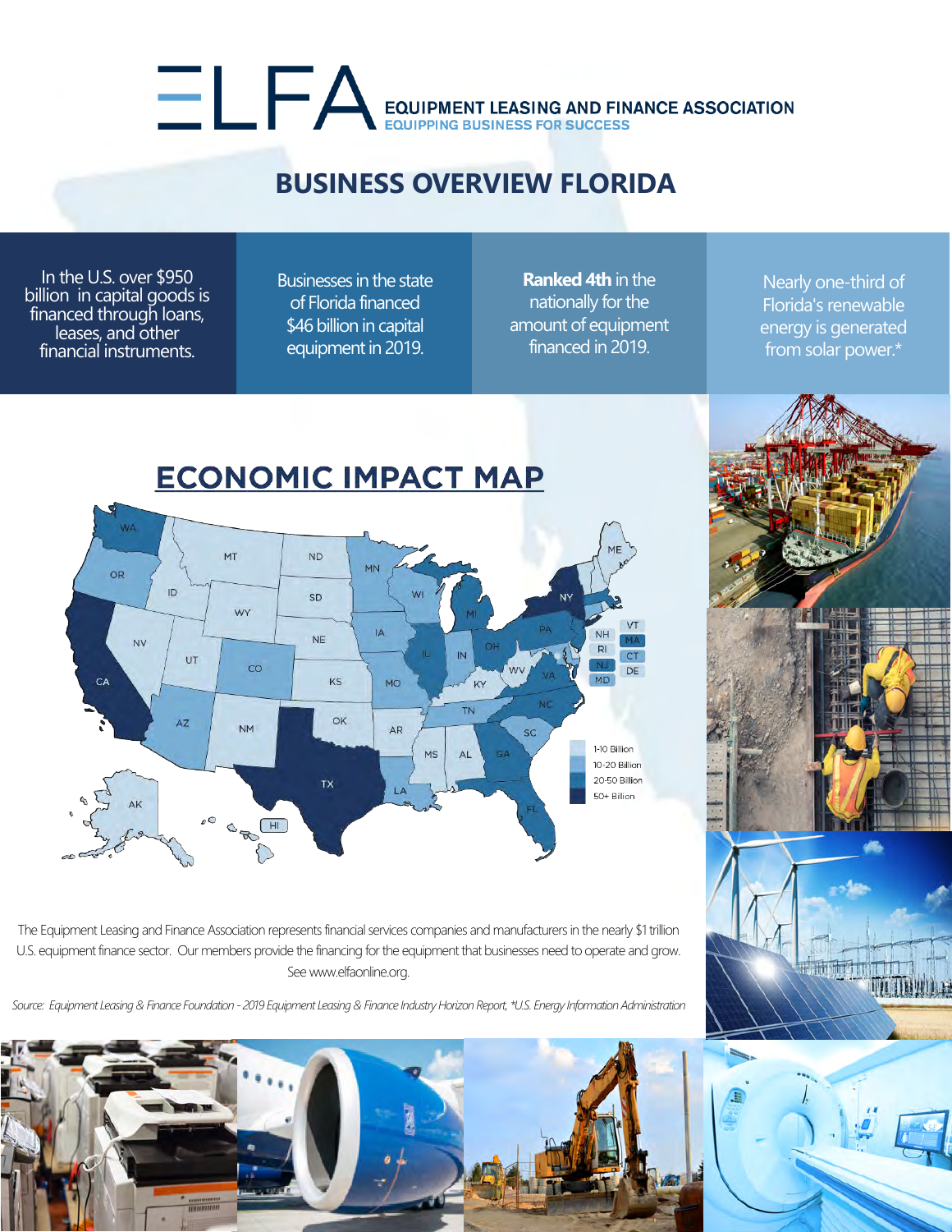# EQUIPMENT LEASING AND FINANCE ASSOCIATION

#### **BUSINESS OVERVIEW FLORIDA**

In the U.S. over \$950 billion in capital goods is financed through loans, leases, and other financial instruments.

Businesses in the state of Florida financed \$46 billion in capital equipment in 2019.

**Ranked 4th** in the nationally for the amount of equipment financed in 2019.

Nearly one-third of Florida's renewable energy is generated from solar power.\*



The Equipment Leasing and Finance Association represents financial services companies and manufacturers in the nearly \$1 trillion U.S. equipment finance sector. Our members provide the financing for the equipment that businesses need to operate and grow. See www.elfaonline.org.

*Source: Equipment Leasing & Finance Foundation - 2019 Equipment Leasing & Finance Industry Horizon Report, \*U.S. Energy Information Administration*